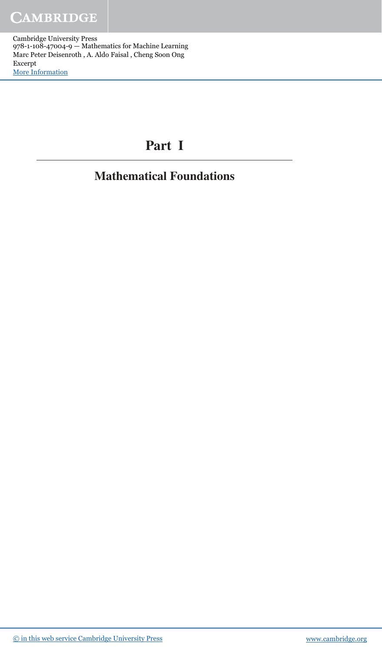# **Part I**

## **Mathematical Foundations**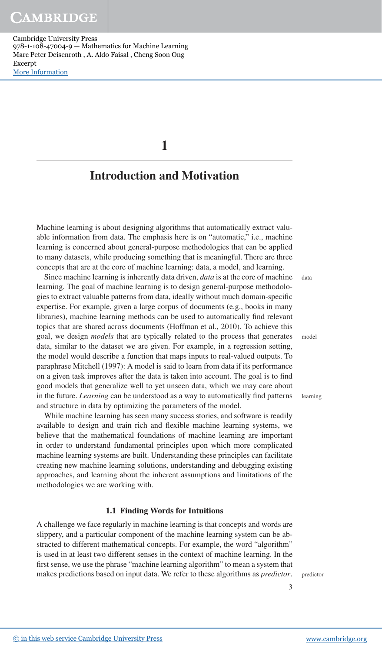**1**

## **Introduction and Motivation**

Machine learning is about designing algorithms that automatically extract valuable information from data. The emphasis here is on "automatic," i.e., machine learning is concerned about general-purpose methodologies that can be applied to many datasets, while producing something that is meaningful. There are three concepts that are at the core of machine learning: data, a model, and learning.

Since machine learning is inherently data driven, *data* is at the core of machine data learning. The goal of machine learning is to design general-purpose methodologies to extract valuable patterns from data, ideally without much domain-specific expertise. For example, given a large corpus of documents (e.g., books in many libraries), machine learning methods can be used to automatically find relevant topics that are shared across documents (Hoffman et al., 2010). To achieve this goal, we design *models* that are typically related to the process that generates model data, similar to the dataset we are given. For example, in a regression setting, the model would describe a function that maps inputs to real-valued outputs. To paraphrase Mitchell (1997): A model is said to learn from data if its performance on a given task improves after the data is taken into account. The goal is to find good models that generalize well to yet unseen data, which we may care about in the future. *Learning* can be understood as a way to automatically find patterns learning and structure in data by optimizing the parameters of the model.

While machine learning has seen many success stories, and software is readily available to design and train rich and flexible machine learning systems, we believe that the mathematical foundations of machine learning are important in order to understand fundamental principles upon which more complicated machine learning systems are built. Understanding these principles can facilitate creating new machine learning solutions, understanding and debugging existing approaches, and learning about the inherent assumptions and limitations of the methodologies we are working with.

## **1.1 Finding Words for Intuitions**

A challenge we face regularly in machine learning is that concepts and words are slippery, and a particular component of the machine learning system can be abstracted to different mathematical concepts. For example, the word "algorithm" is used in at least two different senses in the context of machine learning. In the first sense, we use the phrase "machine learning algorithm" to mean a system that makes predictions based on input data. We refer to these algorithms as *predictor*. predictor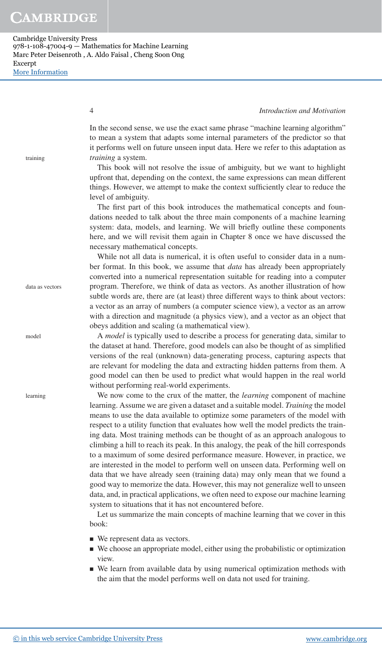## 4 *Introduction and Motivation*

In the second sense, we use the exact same phrase "machine learning algorithm" to mean a system that adapts some internal parameters of the predictor so that it performs well on future unseen input data. Here we refer to this adaptation as training *training* a system.

> This book will not resolve the issue of ambiguity, but we want to highlight upfront that, depending on the context, the same expressions can mean different things. However, we attempt to make the context sufficiently clear to reduce the level of ambiguity.

> The first part of this book introduces the mathematical concepts and foundations needed to talk about the three main components of a machine learning system: data, models, and learning. We will briefly outline these components here, and we will revisit them again in Chapter 8 once we have discussed the necessary mathematical concepts.

While not all data is numerical, it is often useful to consider data in a number format. In this book, we assume that *data* has already been appropriately converted into a numerical representation suitable for reading into a computer data as vectors program. Therefore, we think of data as vectors. As another illustration of how subtle words are, there are (at least) three different ways to think about vectors: a vector as an array of numbers (a computer science view), a vector as an arrow with a direction and magnitude (a physics view), and a vector as an object that obeys addition and scaling (a mathematical view).

model A *model* is typically used to describe a process for generating data, similar to the dataset at hand. Therefore, good models can also be thought of as simplified versions of the real (unknown) data-generating process, capturing aspects that are relevant for modeling the data and extracting hidden patterns from them. A good model can then be used to predict what would happen in the real world without performing real-world experiments.

learning We now come to the crux of the matter, the *learning* component of machine learning. Assume we are given a dataset and a suitable model. *Training* the model means to use the data available to optimize some parameters of the model with respect to a utility function that evaluates how well the model predicts the training data. Most training methods can be thought of as an approach analogous to climbing a hill to reach its peak. In this analogy, the peak of the hill corresponds to a maximum of some desired performance measure. However, in practice, we are interested in the model to perform well on unseen data. Performing well on data that we have already seen (training data) may only mean that we found a good way to memorize the data. However, this may not generalize well to unseen data, and, in practical applications, we often need to expose our machine learning system to situations that it has not encountered before.

> Let us summarize the main concepts of machine learning that we cover in this book:

- $\blacksquare$  We represent data as vectors.
- We choose an appropriate model, either using the probabilistic or optimization view.
- We learn from available data by using numerical optimization methods with the aim that the model performs well on data not used for training.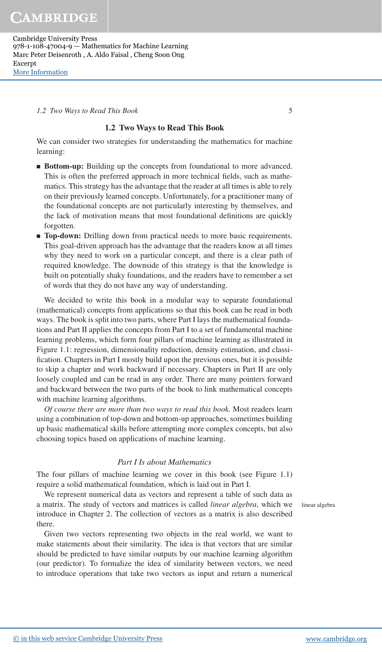CAMBRIDGE

Cambridge University Press 978-1-108-47004-9 — Mathematics for Machine Learning Marc Peter Deisenroth , A. Aldo Faisal , Cheng Soon Ong Excerpt [More Information](www.cambridge.org/9781108470049)

*1.2 Two Ways to Read This Book* 5

### **1.2 Two Ways to Read This Book**

We can consider two strategies for understanding the mathematics for machine learning:

- **Bottom-up:** Building up the concepts from foundational to more advanced. This is often the preferred approach in more technical fields, such as mathematics. This strategy has the advantage that the reader at all times is able to rely on their previously learned concepts. Unfortunately, for a practitioner many of the foundational concepts are not particularly interesting by themselves, and the lack of motivation means that most foundational definitions are quickly forgotten.
- **Top-down:** Drilling down from practical needs to more basic requirements. This goal-driven approach has the advantage that the readers know at all times why they need to work on a particular concept, and there is a clear path of required knowledge. The downside of this strategy is that the knowledge is built on potentially shaky foundations, and the readers have to remember a set of words that they do not have any way of understanding.

We decided to write this book in a modular way to separate foundational (mathematical) concepts from applications so that this book can be read in both ways. The book is split into two parts, where Part I lays the mathematical foundations and Part II applies the concepts from Part I to a set of fundamental machine learning problems, which form four pillars of machine learning as illustrated in Figure 1.1: regression, dimensionality reduction, density estimation, and classification. Chapters in Part I mostly build upon the previous ones, but it is possible to skip a chapter and work backward if necessary. Chapters in Part II are only loosely coupled and can be read in any order. There are many pointers forward and backward between the two parts of the book to link mathematical concepts with machine learning algorithms.

Of course there are more than two ways to read this book. Most readers learn using a combination of top-down and bottom-up approaches, sometimes building up basic mathematical skills before attempting more complex concepts, but also choosing topics based on applications of machine learning.

#### *Part I Is about Mathematics*

The four pillars of machine learning we cover in this book (see Figure 1.1) require a solid mathematical foundation, which is laid out in Part I.

We represent numerical data as vectors and represent a table of such data as a matrix. The study of vectors and matrices is called *linear algebra*, which we linear algebra introduce in Chapter 2. The collection of vectors as a matrix is also described there.

Given two vectors representing two objects in the real world, we want to make statements about their similarity. The idea is that vectors that are similar should be predicted to have similar outputs by our machine learning algorithm (our predictor). To formalize the idea of similarity between vectors, we need to introduce operations that take two vectors as input and return a numerical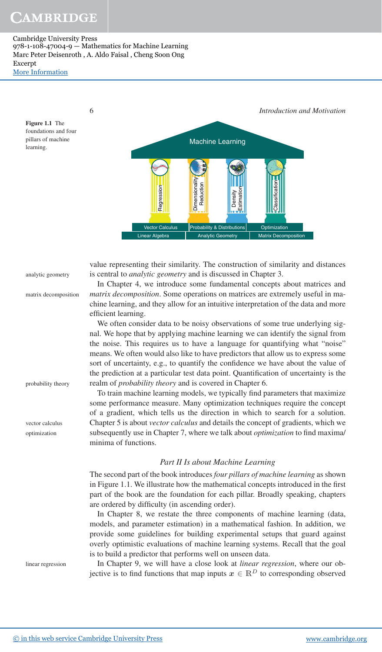## CAMBRIDGE

Cambridge University Press 978-1-108-47004-9 — Mathematics for Machine Learning Marc Peter Deisenroth , A. Aldo Faisal , Cheng Soon Ong Excerpt [More Information](www.cambridge.org/9781108470049)



| matrix decomposition            |
|---------------------------------|
|                                 |
|                                 |
|                                 |
| probability theory              |
| vector calculus<br>optimization |

value representing their similarity. The construction of similarity and distances analytic geometry is central to *analytic geometry* and is discussed in Chapter 3.

> In Chapter 4, we introduce some fundamental concepts about matrices and matrix decomposition *matrix decomposition*. Some operations on matrices are extremely useful in machine learning, and they allow for an intuitive interpretation of the data and more efficient learning.

> We often consider data to be noisy observations of some true underlying signal. We hope that by applying machine learning we can identify the signal from the noise. This requires us to have a language for quantifying what "noise" means. We often would also like to have predictors that allow us to express some sort of uncertainty, e.g., to quantify the confidence we have about the value of the prediction at a particular test data point. Quantification of uncertainty is the realm of *probability theory* and is covered in Chapter 6.

> To train machine learning models, we typically find parameters that maximize some performance measure. Many optimization techniques require the concept of a gradient, which tells us the direction in which to search for a solution. Chapter 5 is about *vector calculus* and details the concept of gradients, which we subsequently use in Chapter 7, where we talk about *optimization* to find maxima/ minima of functions.

#### *Part II Is about Machine Learning*

The second part of the book introduces *four pillars of machine learning* as shown in Figure 1.1. We illustrate how the mathematical concepts introduced in the first part of the book are the foundation for each pillar. Broadly speaking, chapters are ordered by difficulty (in ascending order).

In Chapter 8, we restate the three components of machine learning (data, models, and parameter estimation) in a mathematical fashion. In addition, we provide some guidelines for building experimental setups that guard against overly optimistic evaluations of machine learning systems. Recall that the goal is to build a predictor that performs well on unseen data.

linear regression In Chapter 9, we will have a close look at *linear regression*, where our objective is to find functions that map inputs  $x \in \mathbb{R}^D$  to corresponding observed